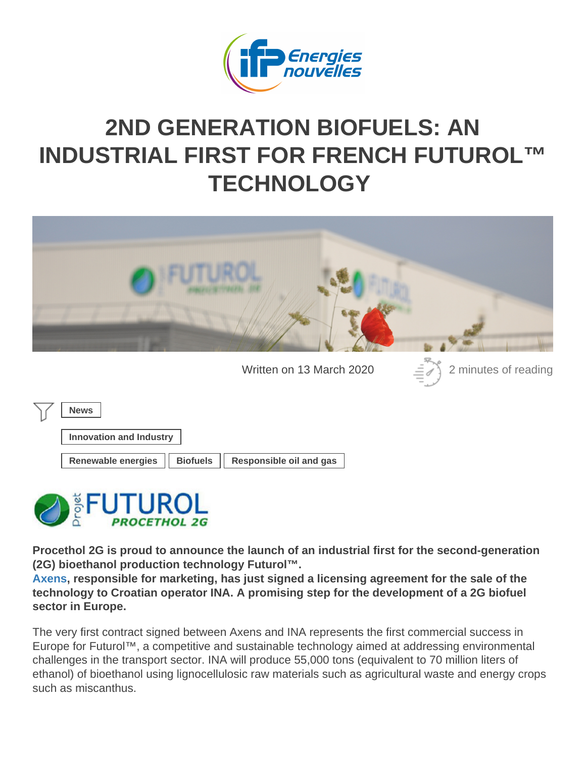## 2ND GENERATION BIOFUELS: AN [INDUSTRIAL FIRST FOR FRENCH FUTUROL™](https://www.ifpenergiesnouvelles.com/article/2nd-generation-biofuels-industrial-first-french-futuroltm-technology) **TECHNOLOGY**

Written on 13 March 2020 2 minutes of reading

News

Innovation and Industry

Renewable energies | Biofuels | Responsible oil and gas

Procethol 2G is proud to announce the launch of an industrial first for the second-generation (2G) bioethanol production technology Futurol™.

[Axens](https://www.axens.net/) , responsible for marketing, has just signed a licensing agreement for the sale of the technology to Croatian operator INA. A promising step for the development of a 2G biofuel sector in Europe.

The very first contract signed between Axens and INA represents the first commercial success in Europe for Futurol™, a competitive and sustainable technology aimed at addressing environmental challenges in the transport sector. INA will produce 55,000 tons (equivalent to 70 million liters of ethanol) of bioethanol using lignocellulosic raw materials such as agricultural waste and energy crops such as miscanthus.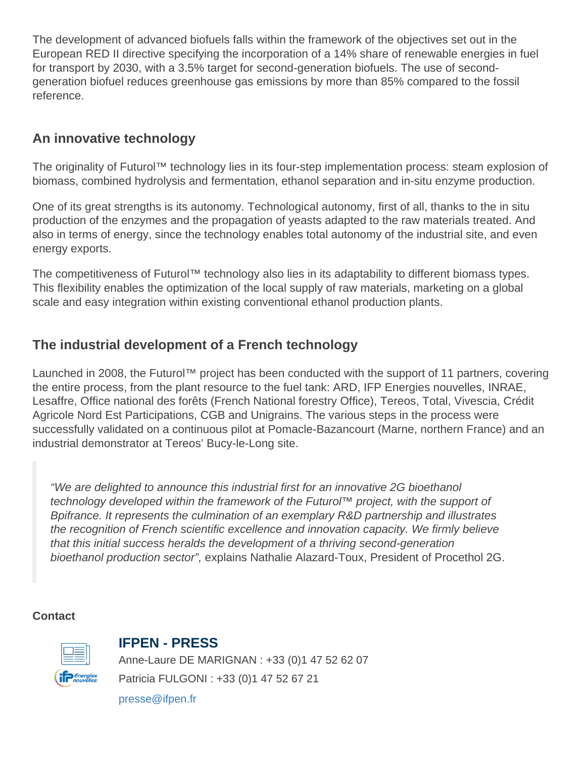The development of advanced biofuels falls within the framework of the objectives set out in the European RED II directive specifying the incorporation of a 14% share of renewable energies in fuel for transport by 2030, with a 3.5% target for second-generation biofuels. The use of secondgeneration biofuel reduces greenhouse gas emissions by more than 85% compared to the fossil reference.

## An innovative technology

The originality of Futurol™ technology lies in its four-step implementation process: steam explosion of biomass, combined hydrolysis and fermentation, ethanol separation and in-situ enzyme production.

One of its great strengths is its autonomy. Technological autonomy, first of all, thanks to the in situ production of the enzymes and the propagation of yeasts adapted to the raw materials treated. And also in terms of energy, since the technology enables total autonomy of the industrial site, and even energy exports.

The competitiveness of Futurol™ technology also lies in its adaptability to different biomass types. This flexibility enables the optimization of the local supply of raw materials, marketing on a global scale and easy integration within existing conventional ethanol production plants.

## The industrial development of a French technology

Launched in 2008, the Futurol™ project has been conducted with the support of 11 partners, covering the entire process, from the plant resource to the fuel tank: ARD, IFP Energies nouvelles, INRAE, Lesaffre, Office national des forêts (French National forestry Office), Tereos, Total, Vivescia, Crédit Agricole Nord Est Participations, CGB and Unigrains. The various steps in the process were successfully validated on a continuous pilot at Pomacle-Bazancourt (Marne, northern France) and an industrial demonstrator at Tereos' Bucy-le-Long site.

"We are delighted to announce this industrial first for an innovative 2G bioethanol technology developed within the framework of the Futurol™ project, with the support of Bpifrance. It represents the culmination of an exemplary R&D partnership and illustrates the recognition of French scientific excellence and innovation capacity. We firmly believe that this initial success heralds the development of a thriving second-generation bioethanol production sector", explains Nathalie Alazard-Toux, President of Procethol 2G.

**Contact** 

## IFPEN - PRESS

Anne-Laure DE MARIGNAN : +33 (0)1 47 52 62 07 Patricia FULGONI : +33 (0)1 47 52 67 21

[presse@ifpen.fr](mailto:presse@ifpen.fr)